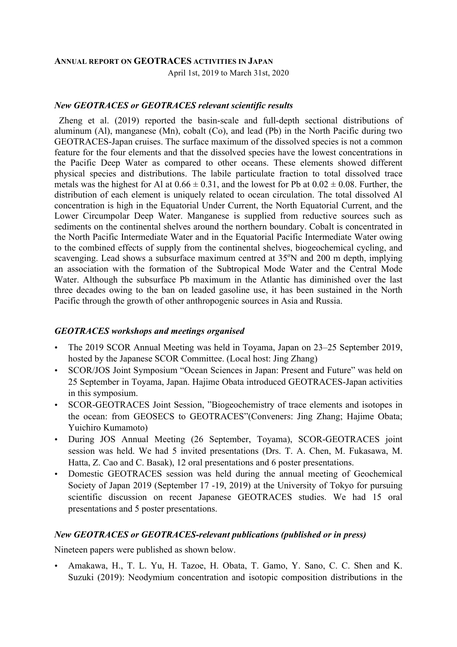#### **ANNUAL REPORT ON GEOTRACES ACTIVITIES IN JAPAN**

April 1st, 2019 to March 31st, 2020

#### *New GEOTRACES or GEOTRACES relevant scientific results*

Zheng et al. (2019) reported the basin-scale and full-depth sectional distributions of aluminum (Al), manganese (Mn), cobalt (Co), and lead (Pb) in the North Pacific during two GEOTRACES-Japan cruises. The surface maximum of the dissolved species is not a common feature for the four elements and that the dissolved species have the lowest concentrations in the Pacific Deep Water as compared to other oceans. These elements showed different physical species and distributions. The labile particulate fraction to total dissolved trace metals was the highest for Al at  $0.66 \pm 0.31$ , and the lowest for Pb at  $0.02 \pm 0.08$ . Further, the distribution of each element is uniquely related to ocean circulation. The total dissolved Al concentration is high in the Equatorial Under Current, the North Equatorial Current, and the Lower Circumpolar Deep Water. Manganese is supplied from reductive sources such as sediments on the continental shelves around the northern boundary. Cobalt is concentrated in the North Pacific Intermediate Water and in the Equatorial Pacific Intermediate Water owing to the combined effects of supply from the continental shelves, biogeochemical cycling, and scavenging. Lead shows a subsurface maximum centred at 35°N and 200 m depth, implying an association with the formation of the Subtropical Mode Water and the Central Mode Water. Although the subsurface Pb maximum in the Atlantic has diminished over the last three decades owing to the ban on leaded gasoline use, it has been sustained in the North Pacific through the growth of other anthropogenic sources in Asia and Russia.

### *GEOTRACES workshops and meetings organised*

- The 2019 SCOR Annual Meeting was held in Toyama, Japan on 23–25 September 2019, hosted by the Japanese SCOR Committee. (Local host: Jing Zhang)
- SCOR/JOS Joint Symposium "Ocean Sciences in Japan: Present and Future" was held on 25 September in Toyama, Japan. Hajime Obata introduced GEOTRACES-Japan activities in this symposium.
- SCOR-GEOTRACES Joint Session, "Biogeochemistry of trace elements and isotopes in the ocean: from GEOSECS to GEOTRACES"(Conveners: Jing Zhang; Hajime Obata; Yuichiro Kumamoto)
- During JOS Annual Meeting (26 September, Toyama), SCOR-GEOTRACES joint session was held. We had 5 invited presentations (Drs. T. A. Chen, M. Fukasawa, M. Hatta, Z. Cao and C. Basak), 12 oral presentations and 6 poster presentations.
- Domestic GEOTRACES session was held during the annual meeting of Geochemical Society of Japan 2019 (September 17 -19, 2019) at the University of Tokyo for pursuing scientific discussion on recent Japanese GEOTRACES studies. We had 15 oral presentations and 5 poster presentations.

### *New GEOTRACES or GEOTRACES-relevant publications (published or in press)*

Nineteen papers were published as shown below.

• Amakawa, H., T. L. Yu, H. Tazoe, H. Obata, T. Gamo, Y. Sano, C. C. Shen and K. Suzuki (2019): Neodymium concentration and isotopic composition distributions in the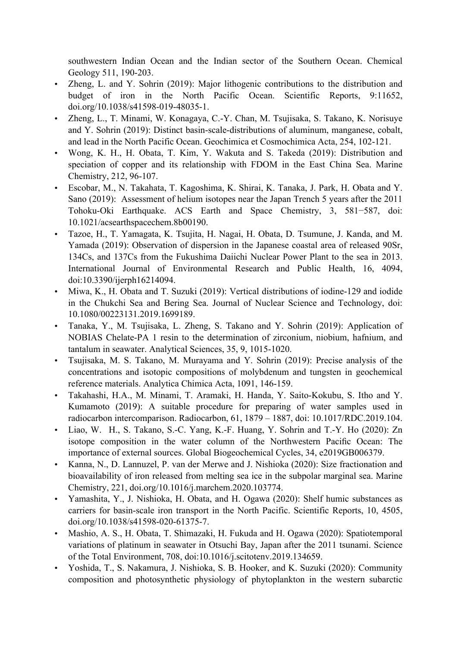southwestern Indian Ocean and the Indian sector of the Southern Ocean. Chemical Geology 511, 190-203.

- Zheng, L. and Y. Sohrin (2019): Major lithogenic contributions to the distribution and budget of iron in the North Pacific Ocean. Scientific Reports, 9:11652, doi.org/10.1038/s41598-019-48035-1.
- Zheng, L., T. Minami, W. Konagaya, C.-Y. Chan, M. Tsujisaka, S. Takano, K. Norisuye and Y. Sohrin (2019): Distinct basin-scale-distributions of aluminum, manganese, cobalt, and lead in the North Pacific Ocean. Geochimica et Cosmochimica Acta, 254, 102-121.
- Wong, K. H., H. Obata, T. Kim, Y. Wakuta and S. Takeda (2019): Distribution and speciation of copper and its relationship with FDOM in the East China Sea. Marine Chemistry, 212, 96-107.
- Escobar, M., N. Takahata, T. Kagoshima, K. Shirai, K. Tanaka, J. Park, H. Obata and Y. Sano (2019): Assessment of helium isotopes near the Japan Trench 5 years after the 2011 Tohoku-Oki Earthquake. ACS Earth and Space Chemistry, 3, 581−587, doi: 10.1021/acsearthspacechem.8b00190.
- Tazoe, H., T. Yamagata, K. Tsujita, H. Nagai, H. Obata, D. Tsumune, J. Kanda, and M. Yamada (2019): Observation of dispersion in the Japanese coastal area of released 90Sr, 134Cs, and 137Cs from the Fukushima Daiichi Nuclear Power Plant to the sea in 2013. International Journal of Environmental Research and Public Health, 16, 4094, doi:10.3390/ijerph16214094.
- Miwa, K., H. Obata and T. Suzuki (2019): Vertical distributions of iodine-129 and iodide in the Chukchi Sea and Bering Sea. Journal of Nuclear Science and Technology, doi: 10.1080/00223131.2019.1699189.
- Tanaka, Y., M. Tsujisaka, L. Zheng, S. Takano and Y. Sohrin (2019): Application of NOBIAS Chelate-PA 1 resin to the determination of zirconium, niobium, hafnium, and tantalum in seawater. Analytical Sciences, 35, 9, 1015-1020.
- Tsujisaka, M. S. Takano, M. Murayama and Y. Sohrin (2019): Precise analysis of the concentrations and isotopic compositions of molybdenum and tungsten in geochemical reference materials. Analytica Chimica Acta, 1091, 146-159.
- Takahashi, H.A., M. Minami, T. Aramaki, H. Handa, Y. Saito-Kokubu, S. Itho and Y. Kumamoto (2019): A suitable procedure for preparing of water samples used in radiocarbon intercomparison. Radiocarbon, 61, 1879 – 1887, doi: 10.1017/RDC.2019.104.
- Liao, W. H., S. Takano, S.-C. Yang, K.-F. Huang, Y. Sohrin and T.-Y. Ho (2020): Zn isotope composition in the water column of the Northwestern Pacific Ocean: The importance of external sources. Global Biogeochemical Cycles, 34, e2019GB006379.
- Kanna, N., D. Lannuzel, P. van der Merwe and J. Nishioka (2020): Size fractionation and bioavailability of iron released from melting sea ice in the subpolar marginal sea. Marine Chemistry, 221, doi.org/10.1016/j.marchem.2020.103774.
- Yamashita, Y., J. Nishioka, H. Obata, and H. Ogawa (2020): Shelf humic substances as carriers for basin-scale iron transport in the North Pacific. Scientific Reports, 10, 4505, doi.org/10.1038/s41598-020-61375-7.
- Mashio, A. S., H. Obata, T. Shimazaki, H. Fukuda and H. Ogawa (2020): Spatiotemporal variations of platinum in seawater in Otsuchi Bay, Japan after the 2011 tsunami. Science of the Total Environment, 708, doi:10.1016/j.scitotenv.2019.134659.
- Yoshida, T., S. Nakamura, J. Nishioka, S. B. Hooker, and K. Suzuki (2020): Community composition and photosynthetic physiology of phytoplankton in the western subarctic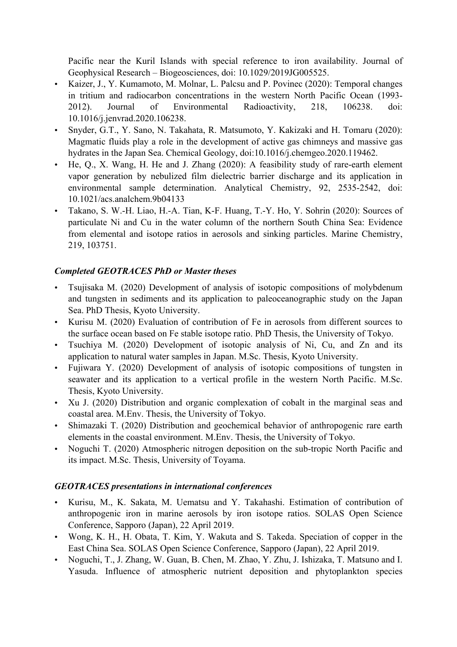Pacific near the Kuril Islands with special reference to iron availability. Journal of Geophysical Research – Biogeosciences, doi: 10.1029/2019JG005525.

- Kaizer, J., Y. Kumamoto, M. Molnar, L. Palcsu and P. Povinec (2020): Temporal changes in tritium and radiocarbon concentrations in the western North Pacific Ocean (1993- 2012). Journal of Environmental Radioactivity, 218, 106238. doi: 10.1016/j.jenvrad.2020.106238.
- Snyder, G.T., Y. Sano, N. Takahata, R. Matsumoto, Y. Kakizaki and H. Tomaru (2020): Magmatic fluids play a role in the development of active gas chimneys and massive gas hydrates in the Japan Sea. Chemical Geology, doi:10.1016/j.chemgeo.2020.119462.
- He, Q., X. Wang, H. He and J. Zhang (2020): A feasibility study of rare-earth element vapor generation by nebulized film dielectric barrier discharge and its application in environmental sample determination. Analytical Chemistry, 92, 2535-2542, doi: 10.1021/acs.analchem.9b04133
- Takano, S. W.-H. Liao, H.-A. Tian, K-F. Huang, T.-Y. Ho, Y. Sohrin (2020): Sources of particulate Ni and Cu in the water column of the northern South China Sea: Evidence from elemental and isotope ratios in aerosols and sinking particles. Marine Chemistry, 219, 103751.

# *Completed GEOTRACES PhD or Master theses*

- Tsujisaka M. (2020) Development of analysis of isotopic compositions of molybdenum and tungsten in sediments and its application to paleoceanographic study on the Japan Sea. PhD Thesis, Kyoto University.
- Kurisu M. (2020) Evaluation of contribution of Fe in aerosols from different sources to the surface ocean based on Fe stable isotope ratio. PhD Thesis, the University of Tokyo.
- Tsuchiya M. (2020) Development of isotopic analysis of Ni, Cu, and Zn and its application to natural water samples in Japan. M.Sc. Thesis, Kyoto University.
- Fujiwara Y. (2020) Development of analysis of isotopic compositions of tungsten in seawater and its application to a vertical profile in the western North Pacific. M.Sc. Thesis, Kyoto University.
- Xu J. (2020) Distribution and organic complexation of cobalt in the marginal seas and coastal area. M.Env. Thesis, the University of Tokyo.
- Shimazaki T. (2020) Distribution and geochemical behavior of anthropogenic rare earth elements in the coastal environment. M.Env. Thesis, the University of Tokyo.
- Noguchi T. (2020) Atmospheric nitrogen deposition on the sub-tropic North Pacific and its impact. M.Sc. Thesis, University of Toyama.

## *GEOTRACES presentations in international conferences*

- Kurisu, M., K. Sakata, M. Uematsu and Y. Takahashi. Estimation of contribution of anthropogenic iron in marine aerosols by iron isotope ratios. SOLAS Open Science Conference, Sapporo (Japan), 22 April 2019.
- Wong, K. H., H. Obata, T. Kim, Y. Wakuta and S. Takeda. Speciation of copper in the East China Sea. SOLAS Open Science Conference, Sapporo (Japan), 22 April 2019.
- Noguchi, T., J. Zhang, W. Guan, B. Chen, M. Zhao, Y. Zhu, J. Ishizaka, T. Matsuno and I. Yasuda. Influence of atmospheric nutrient deposition and phytoplankton species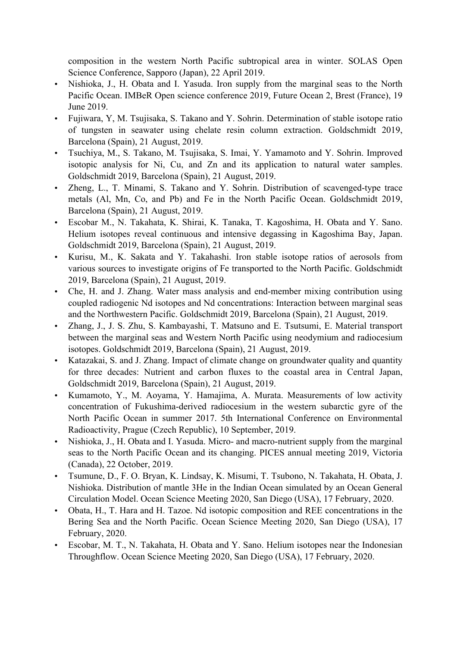composition in the western North Pacific subtropical area in winter. SOLAS Open Science Conference, Sapporo (Japan), 22 April 2019.

- Nishioka, J., H. Obata and I. Yasuda. Iron supply from the marginal seas to the North Pacific Ocean. IMBeR Open science conference 2019, Future Ocean 2, Brest (France), 19 June 2019.
- Fujiwara, Y, M. Tsujisaka, S. Takano and Y. Sohrin. Determination of stable isotope ratio of tungsten in seawater using chelate resin column extraction. Goldschmidt 2019, Barcelona (Spain), 21 August, 2019.
- Tsuchiya, M., S. Takano, M. Tsujisaka, S. Imai, Y. Yamamoto and Y. Sohrin. Improved isotopic analysis for Ni, Cu, and Zn and its application to natural water samples. Goldschmidt 2019, Barcelona (Spain), 21 August, 2019.
- Zheng, L., T. Minami, S. Takano and Y. Sohrin. Distribution of scavenged-type trace metals (Al, Mn, Co, and Pb) and Fe in the North Pacific Ocean. Goldschmidt 2019, Barcelona (Spain), 21 August, 2019.
- Escobar M., N. Takahata, K. Shirai, K. Tanaka, T. Kagoshima, H. Obata and Y. Sano. Helium isotopes reveal continuous and intensive degassing in Kagoshima Bay, Japan. Goldschmidt 2019, Barcelona (Spain), 21 August, 2019.
- Kurisu, M., K. Sakata and Y. Takahashi. Iron stable isotope ratios of aerosols from various sources to investigate origins of Fe transported to the North Pacific. Goldschmidt 2019, Barcelona (Spain), 21 August, 2019.
- Che, H. and J. Zhang. Water mass analysis and end-member mixing contribution using coupled radiogenic Nd isotopes and Nd concentrations: Interaction between marginal seas and the Northwestern Pacific. Goldschmidt 2019, Barcelona (Spain), 21 August, 2019.
- Zhang, J., J. S. Zhu, S. Kambayashi, T. Matsuno and E. Tsutsumi, E. Material transport between the marginal seas and Western North Pacific using neodymium and radiocesium isotopes. Goldschmidt 2019, Barcelona (Spain), 21 August, 2019.
- Katazakai, S. and J. Zhang. Impact of climate change on groundwater quality and quantity for three decades: Nutrient and carbon fluxes to the coastal area in Central Japan, Goldschmidt 2019, Barcelona (Spain), 21 August, 2019.
- Kumamoto, Y., M. Aoyama, Y. Hamajima, A. Murata. Measurements of low activity concentration of Fukushima-derived radiocesium in the western subarctic gyre of the North Pacific Ocean in summer 2017. 5th International Conference on Environmental Radioactivity, Prague (Czech Republic), 10 September, 2019.
- Nishioka, J., H. Obata and I. Yasuda. Micro- and macro-nutrient supply from the marginal seas to the North Pacific Ocean and its changing. PICES annual meeting 2019, Victoria (Canada), 22 October, 2019.
- Tsumune, D., F. O. Bryan, K. Lindsay, K. Misumi, T. Tsubono, N. Takahata, H. Obata, J. Nishioka. Distribution of mantle 3He in the Indian Ocean simulated by an Ocean General Circulation Model. Ocean Science Meeting 2020, San Diego (USA), 17 February, 2020.
- Obata, H., T. Hara and H. Tazoe. Nd isotopic composition and REE concentrations in the Bering Sea and the North Pacific. Ocean Science Meeting 2020, San Diego (USA), 17 February, 2020.
- Escobar, M. T., N. Takahata, H. Obata and Y. Sano. Helium isotopes near the Indonesian Throughflow. Ocean Science Meeting 2020, San Diego (USA), 17 February, 2020.